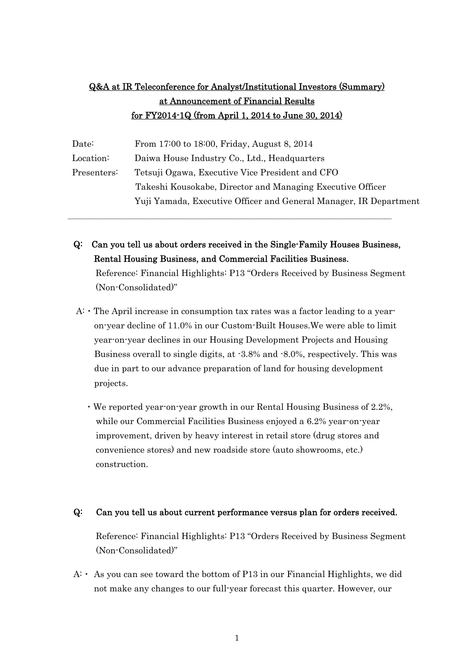# Q&A at IR Teleconference for Analyst/Institutional Investors (Summary) at Announcement of Financial Results for FY2014-1Q (from April 1, 2014 to June 30, 2014)

| From 17:00 to 18:00, Friday, August 8, 2014                       |
|-------------------------------------------------------------------|
| Daiwa House Industry Co., Ltd., Headquarters                      |
| Tetsuji Ogawa, Executive Vice President and CFO                   |
| Takeshi Kousokabe, Director and Managing Executive Officer        |
| Yuji Yamada, Executive Officer and General Manager, IR Department |
|                                                                   |

Q: Can you tell us about orders received in the Single-Family Houses Business, Rental Housing Business, and Commercial Facilities Business.

\_\_\_\_\_\_\_\_\_\_\_\_\_\_\_\_\_\_\_\_\_\_\_\_\_\_\_\_\_\_\_\_\_\_\_\_\_

Reference: Financial Highlights: P13 "Orders Received by Business Segment (Non-Consolidated)"

- A:・The April increase in consumption tax rates was a factor leading to a yearon-year decline of 11.0% in our Custom-Built Houses.We were able to limit year-on-year declines in our Housing Development Projects and Housing Business overall to single digits, at -3.8% and -8.0%, respectively. This was due in part to our advance preparation of land for housing development projects.
	- ・We reported year-on-year growth in our Rental Housing Business of 2.2%, while our Commercial Facilities Business enjoyed a 6.2% year-on-year improvement, driven by heavy interest in retail store (drug stores and convenience stores) and new roadside store (auto showrooms, etc.) construction.

### Q: Can you tell us about current performance versus plan for orders received.

Reference: Financial Highlights: P13 "Orders Received by Business Segment (Non-Consolidated)"

 $A: A$  is you can see toward the bottom of P13 in our Financial Highlights, we did not make any changes to our full-year forecast this quarter. However, our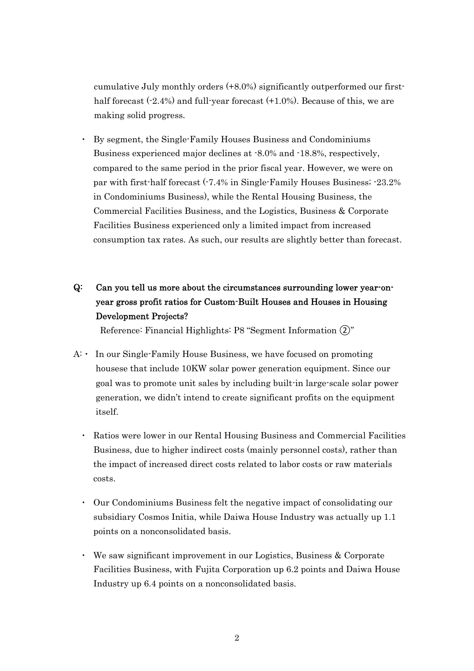cumulative July monthly orders (+8.0%) significantly outperformed our firsthalf forecast  $(-2.4%)$  and full-year forecast  $(+1.0%)$ . Because of this, we are making solid progress.

- By segment, the Single-Family Houses Business and Condominiums Business experienced major declines at -8.0% and -18.8%, respectively, compared to the same period in the prior fiscal year. However, we were on par with first-half forecast (-7.4% in Single-Family Houses Business; -23.2% in Condominiums Business), while the Rental Housing Business, the Commercial Facilities Business, and the Logistics, Business & Corporate Facilities Business experienced only a limited impact from increased consumption tax rates. As such, our results are slightly better than forecast.
- Q: Can you tell us more about the circumstances surrounding lower year-onyear gross profit ratios for Custom-Built Houses and Houses in Housing Development Projects?

Reference: Financial Highlights: P8 "Segment Information ②"

- A:・ In our Single-Family House Business, we have focused on promoting housese that include 10KW solar power generation equipment. Since our goal was to promote unit sales by including built-in large-scale solar power generation, we didn't intend to create significant profits on the equipment itself.
	- Ratios were lower in our Rental Housing Business and Commercial Facilities Business, due to higher indirect costs (mainly personnel costs), rather than the impact of increased direct costs related to labor costs or raw materials costs.
	- ・ Our Condominiums Business felt the negative impact of consolidating our subsidiary Cosmos Initia, while Daiwa House Industry was actually up 1.1 points on a nonconsolidated basis.
	- ・ We saw significant improvement in our Logistics, Business & Corporate Facilities Business, with Fujita Corporation up 6.2 points and Daiwa House Industry up 6.4 points on a nonconsolidated basis.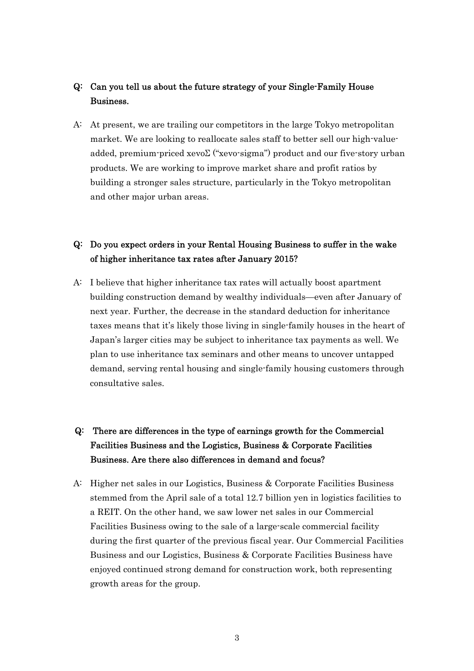### Q: Can you tell us about the future strategy of your Single-Family House Business.

A: At present, we are trailing our competitors in the large Tokyo metropolitan market. We are looking to reallocate sales staff to better sell our high-valueadded, premium-priced xevoΣ ("xevo-sigma") product and our five-story urban products. We are working to improve market share and profit ratios by building a stronger sales structure, particularly in the Tokyo metropolitan and other major urban areas.

## Q: Do you expect orders in your Rental Housing Business to suffer in the wake of higher inheritance tax rates after January 2015?

A: I believe that higher inheritance tax rates will actually boost apartment building construction demand by wealthy individuals—even after January of next year. Further, the decrease in the standard deduction for inheritance taxes means that it's likely those living in single-family houses in the heart of Japan's larger cities may be subject to inheritance tax payments as well. We plan to use inheritance tax seminars and other means to uncover untapped demand, serving rental housing and single-family housing customers through consultative sales.

# Q: There are differences in the type of earnings growth for the Commercial Facilities Business and the Logistics, Business & Corporate Facilities Business. Are there also differences in demand and focus?

A: Higher net sales in our Logistics, Business & Corporate Facilities Business stemmed from the April sale of a total 12.7 billion yen in logistics facilities to a REIT. On the other hand, we saw lower net sales in our Commercial Facilities Business owing to the sale of a large-scale commercial facility during the first quarter of the previous fiscal year. Our Commercial Facilities Business and our Logistics, Business & Corporate Facilities Business have enjoyed continued strong demand for construction work, both representing growth areas for the group.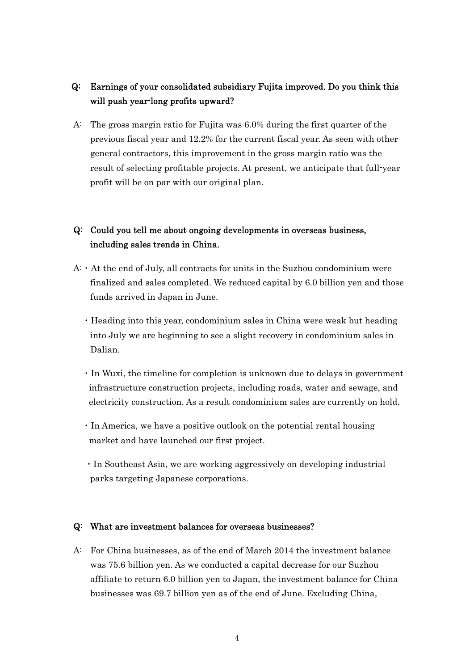## Q: Earnings of your consolidated subsidiary Fujita improved. Do you think this will push year-long profits upward?

A: The gross margin ratio for Fujita was 6.0% during the first quarter of the previous fiscal year and 12.2% for the current fiscal year. As seen with other general contractors, this improvement in the gross margin ratio was the result of selecting profitable projects. At present, we anticipate that full-year profit will be on par with our original plan.

## Q: Could you tell me about ongoing developments in overseas business, including sales trends in China.

- $A: A$ : At the end of July, all contracts for units in the Suzhou condominium were finalized and sales completed. We reduced capital by 6.0 billion yen and those funds arrived in Japan in June.
	- ・Heading into this year, condominium sales in China were weak but heading into July we are beginning to see a slight recovery in condominium sales in Dalian.
	- ・In Wuxi, the timeline for completion is unknown due to delays in government infrastructure construction projects, including roads, water and sewage, and electricity construction. As a result condominium sales are currently on hold.
	- ・In America, we have a positive outlook on the potential rental housing market and have launched our first project.
	- ・In Southeast Asia, we are working aggressively on developing industrial parks targeting Japanese corporations.

#### Q: What are investment balances for overseas businesses?

A: For China businesses, as of the end of March 2014 the investment balance was 75.6 billion yen. As we conducted a capital decrease for our Suzhou affiliate to return 6.0 billion yen to Japan, the investment balance for China businesses was 69.7 billion yen as of the end of June. Excluding China,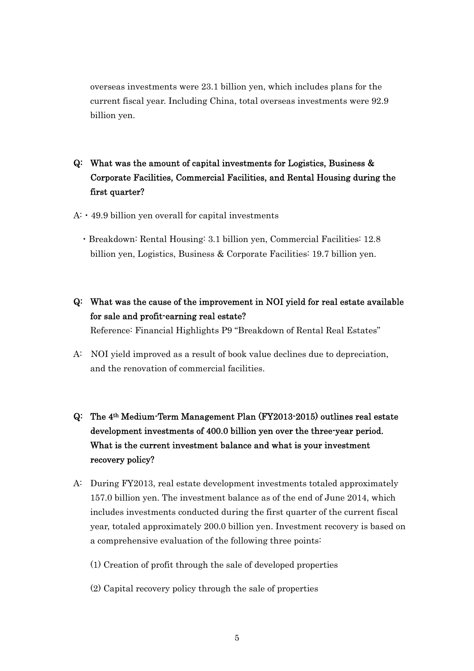overseas investments were 23.1 billion yen, which includes plans for the current fiscal year. Including China, total overseas investments were 92.9 billion yen.

# Q: What was the amount of capital investments for Logistics, Business & Corporate Facilities, Commercial Facilities, and Rental Housing during the first quarter?

- $A: 49.9$  billion yen overall for capital investments
	- ・Breakdown: Rental Housing: 3.1 billion yen, Commercial Facilities: 12.8 billion yen, Logistics, Business & Corporate Facilities: 19.7 billion yen.
- Q: What was the cause of the improvement in NOI yield for real estate available for sale and profit-earning real estate? Reference: Financial Highlights P9 "Breakdown of Rental Real Estates"
- A: NOI yield improved as a result of book value declines due to depreciation, and the renovation of commercial facilities.
- Q: The 4th Medium-Term Management Plan (FY2013-2015) outlines real estate development investments of 400.0 billion yen over the three-year period. What is the current investment balance and what is your investment recovery policy?
- A: During FY2013, real estate development investments totaled approximately 157.0 billion yen. The investment balance as of the end of June 2014, which includes investments conducted during the first quarter of the current fiscal year, totaled approximately 200.0 billion yen. Investment recovery is based on a comprehensive evaluation of the following three points:
	- (1) Creation of profit through the sale of developed properties
	- (2) Capital recovery policy through the sale of properties